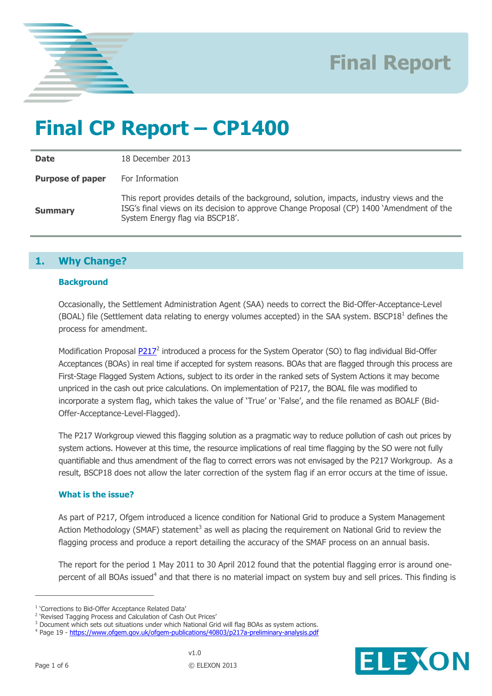



## **Final CP Report – CP1400**

**Date** 18 December 2013 **Purpose of paper** For Information **Summary** This report provides details of the background, solution, impacts, industry views and the ISG's final views on its decision to approve Change Proposal (CP) 1400 'Amendment of the System Energy flag via BSCP18'.

## **1. Why Change?**

### **Background**

Occasionally, the Settlement Administration Agent (SAA) needs to correct the Bid-Offer-Acceptance-Level (BOAL) file (Settlement data relating to energy volumes accepted) in the SAA system. BSCP18<sup>1</sup> defines the process for amendment.

Modification Proposal **P217**<sup>2</sup> introduced a process for the System Operator (SO) to flag individual Bid-Offer Acceptances (BOAs) in real time if accepted for system reasons. BOAs that are flagged through this process are First-Stage Flagged System Actions, subject to its order in the ranked sets of System Actions it may become unpriced in the cash out price calculations. On implementation of P217, the BOAL file was modified to incorporate a system flag, which takes the value of 'True' or 'False', and the file renamed as BOALF (Bid-Offer-Acceptance-Level-Flagged).

The P217 Workgroup viewed this flagging solution as a pragmatic way to reduce pollution of cash out prices by system actions. However at this time, the resource implications of real time flagging by the SO were not fully quantifiable and thus amendment of the flag to correct errors was not envisaged by the P217 Workgroup. As a result, BSCP18 does not allow the later correction of the system flag if an error occurs at the time of issue.

#### **What is the issue?**

As part of P217, Ofgem introduced a licence condition for National Grid to produce a System Management Action Methodology (SMAF) statement<sup>3</sup> as well as placing the requirement on National Grid to review the flagging process and produce a report detailing the accuracy of the SMAF process on an annual basis.

The report for the period 1 May 2011 to 30 April 2012 found that the potential flagging error is around onepercent of all BOAs issued<sup>4</sup> and that there is no material impact on system buy and sell prices. This finding is

<sup>&</sup>lt;sup>4</sup> Page 19 - <https://www.ofgem.gov.uk/ofgem-publications/40803/p217a-preliminary-analysis.pdf>



 $\overline{a}$ 

<sup>&</sup>lt;sup>1</sup> 'Corrections to Bid-Offer Acceptance Related Data'

<sup>&</sup>lt;sup>2</sup> 'Revised Tagging Process and Calculation of Cash Out Prices'

<sup>&</sup>lt;sup>3</sup> Document which sets out situations under which National Grid will flag BOAs as system actions.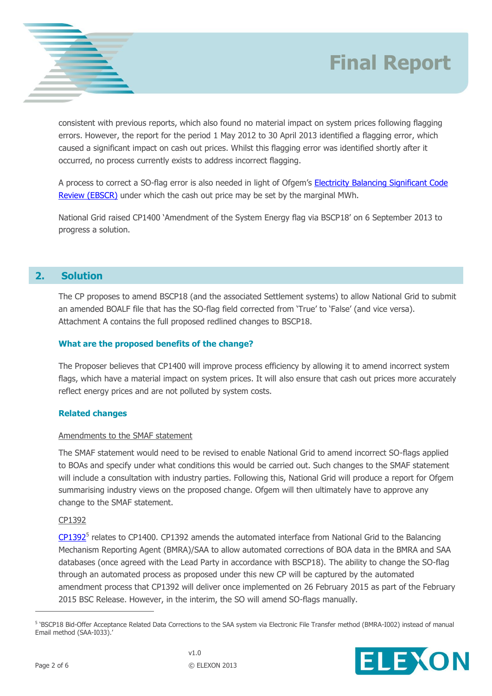

consistent with previous reports, which also found no material impact on system prices following flagging errors. However, the report for the period 1 May 2012 to 30 April 2013 identified a flagging error, which caused a significant impact on cash out prices. Whilst this flagging error was identified shortly after it occurred, no process currently exists to address incorrect flagging.

A process to correct a SO-flag error is also needed in light of Ofgem's [Electricity Balancing Significant Code](https://www.ofgem.gov.uk/electricity/wholesale-market/market-efficiency-review-and-reform/electricity-balancing-significant-code-review)  [Review \(EBSCR\)](https://www.ofgem.gov.uk/electricity/wholesale-market/market-efficiency-review-and-reform/electricity-balancing-significant-code-review) under which the cash out price may be set by the marginal MWh.

National Grid raised CP1400 'Amendment of the System Energy flag via BSCP18' on 6 September 2013 to progress a solution.

## **2. Solution**

The CP proposes to amend BSCP18 (and the associated Settlement systems) to allow National Grid to submit an amended BOALF file that has the SO-flag field corrected from 'True' to 'False' (and vice versa). Attachment A contains the full proposed redlined changes to BSCP18.

### **What are the proposed benefits of the change?**

The Proposer believes that CP1400 will improve process efficiency by allowing it to amend incorrect system flags, which have a material impact on system prices. It will also ensure that cash out prices more accurately reflect energy prices and are not polluted by system costs.

## **Related changes**

### Amendments to the SMAF statement

The SMAF statement would need to be revised to enable National Grid to amend incorrect SO-flags applied to BOAs and specify under what conditions this would be carried out. Such changes to the SMAF statement will include a consultation with industry parties. Following this, National Grid will produce a report for Ofgem summarising industry views on the proposed change. Ofgem will then ultimately have to approve any change to the SMAF statement.

### CP1392

[CP1392](http://www.elexon.co.uk/change-proposal/cp1392/)<sup>5</sup> relates to CP1400. CP1392 amends the automated interface from National Grid to the Balancing Mechanism Reporting Agent (BMRA)/SAA to allow automated corrections of BOA data in the BMRA and SAA databases (once agreed with the Lead Party in accordance with BSCP18). The ability to change the SO-flag through an automated process as proposed under this new CP will be captured by the automated amendment process that CP1392 will deliver once implemented on 26 February 2015 as part of the February 2015 BSC Release. However, in the interim, the SO will amend SO-flags manually.

<sup>&</sup>lt;sup>5</sup> 'BSCP18 Bid-Offer Acceptance Related Data Corrections to the SAA system via Electronic File Transfer method (BMRA-I002) instead of manual Email method (SAA-I033).'



 $\overline{a}$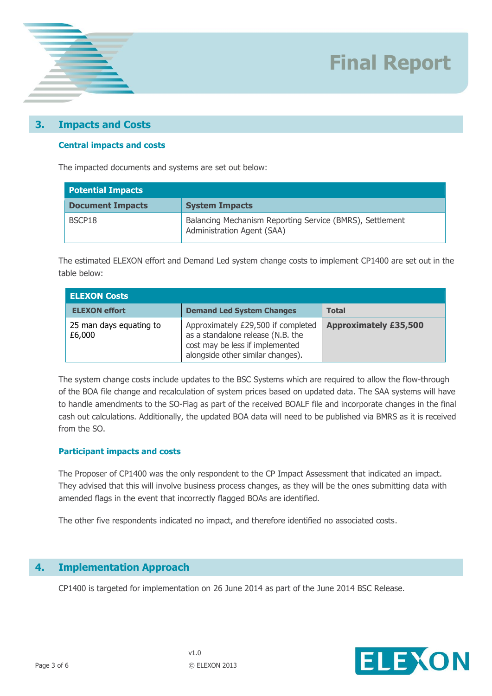

## **3. Impacts and Costs**

### **Central impacts and costs**

The impacted documents and systems are set out below:

| <b>Potential Impacts</b> |                                                                                        |  |  |
|--------------------------|----------------------------------------------------------------------------------------|--|--|
| <b>Document Impacts</b>  | <b>System Impacts</b>                                                                  |  |  |
| BSCP18                   | Balancing Mechanism Reporting Service (BMRS), Settlement<br>Administration Agent (SAA) |  |  |

The estimated ELEXON effort and Demand Led system change costs to implement CP1400 are set out in the table below:

| <b>ELEXON Costs</b>               |                                                                                                                                                 |                              |
|-----------------------------------|-------------------------------------------------------------------------------------------------------------------------------------------------|------------------------------|
| <b>ELEXON effort</b>              | <b>Demand Led System Changes</b>                                                                                                                | <b>Total</b>                 |
| 25 man days equating to<br>£6,000 | Approximately £29,500 if completed<br>as a standalone release (N.B. the<br>cost may be less if implemented<br>alongside other similar changes). | <b>Approximately £35,500</b> |

The system change costs include updates to the BSC Systems which are required to allow the flow-through of the BOA file change and recalculation of system prices based on updated data. The SAA systems will have to handle amendments to the SO-Flag as part of the received BOALF file and incorporate changes in the final cash out calculations. Additionally, the updated BOA data will need to be published via BMRS as it is received from the SO.

#### **Participant impacts and costs**

The Proposer of CP1400 was the only respondent to the CP Impact Assessment that indicated an impact. They advised that this will involve business process changes, as they will be the ones submitting data with amended flags in the event that incorrectly flagged BOAs are identified.

The other five respondents indicated no impact, and therefore identified no associated costs.

## **4. Implementation Approach**

CP1400 is targeted for implementation on 26 June 2014 as part of the June 2014 BSC Release.

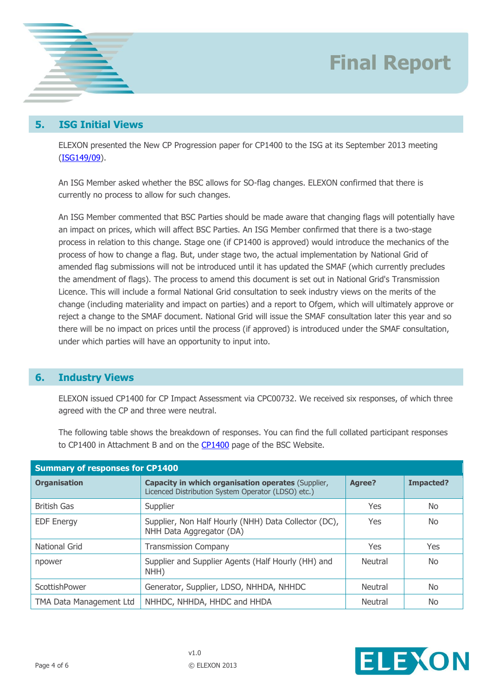

## **5. ISG Initial Views**

ELEXON presented the New CP Progression paper for CP1400 to the ISG at its September 2013 meeting [\(ISG149/09\)](http://www.elexon.co.uk/wp-content/uploads/2012/11/ISG149_09_New_CP_Progression.pdf).

An ISG Member asked whether the BSC allows for SO-flag changes. ELEXON confirmed that there is currently no process to allow for such changes.

An ISG Member commented that BSC Parties should be made aware that changing flags will potentially have an impact on prices, which will affect BSC Parties. An ISG Member confirmed that there is a two-stage process in relation to this change. Stage one (if CP1400 is approved) would introduce the mechanics of the process of how to change a flag. But, under stage two, the actual implementation by National Grid of amended flag submissions will not be introduced until it has updated the SMAF (which currently precludes the amendment of flags). The process to amend this document is set out in National Grid's Transmission Licence. This will include a formal National Grid consultation to seek industry views on the merits of the change (including materiality and impact on parties) and a report to Ofgem, which will ultimately approve or reject a change to the SMAF document. National Grid will issue the SMAF consultation later this year and so there will be no impact on prices until the process (if approved) is introduced under the SMAF consultation, under which parties will have an opportunity to input into.

## **6. Industry Views**

ELEXON issued CP1400 for CP Impact Assessment via CPC00732. We received six responses, of which three agreed with the CP and three were neutral.

The following table shows the breakdown of responses. You can find the full collated participant responses to CP1400 in Attachment B and on the [CP1400](http://www.elexon.co.uk/change-proposal/cp1400/) page of the BSC Website.

| <b>Summary of responses for CP1400</b> |                                                                                                          |            |                |  |  |
|----------------------------------------|----------------------------------------------------------------------------------------------------------|------------|----------------|--|--|
| <b>Organisation</b>                    | Capacity in which organisation operates (Supplier,<br>Licenced Distribution System Operator (LDSO) etc.) | Agree?     | Impacted?      |  |  |
| <b>British Gas</b>                     | Supplier                                                                                                 | <b>Yes</b> | <b>No</b>      |  |  |
| <b>EDF Energy</b>                      | Supplier, Non Half Hourly (NHH) Data Collector (DC),<br>NHH Data Aggregator (DA)                         | <b>Yes</b> | <b>No</b>      |  |  |
| National Grid                          | <b>Transmission Company</b>                                                                              | Yes        | <b>Yes</b>     |  |  |
| npower                                 | Supplier and Supplier Agents (Half Hourly (HH) and<br>NHH)                                               | Neutral    | No.            |  |  |
| ScottishPower                          | Generator, Supplier, LDSO, NHHDA, NHHDC                                                                  | Neutral    | N <sub>o</sub> |  |  |
| TMA Data Management Ltd                | NHHDC, NHHDA, HHDC and HHDA                                                                              | Neutral    | <b>No</b>      |  |  |

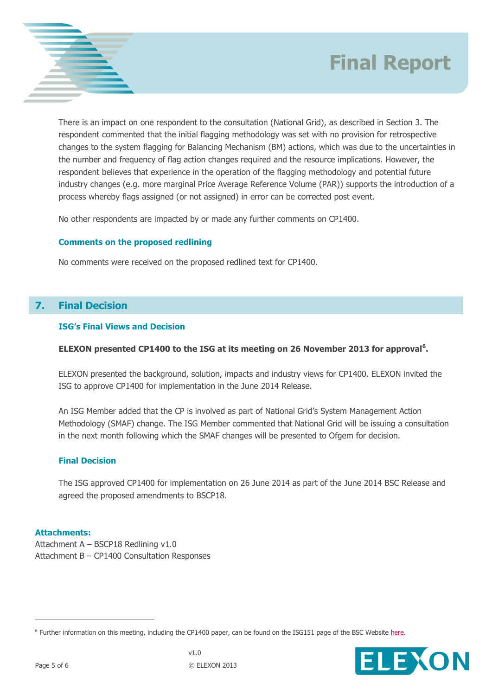

There is an impact on one respondent to the consultation (National Grid), as described in Section 3. The respondent commented that the initial flagging methodology was set with no provision for retrospective changes to the system flagging for Balancing Mechanism (BM) actions, which was due to the uncertainties in the number and frequency of flag action changes required and the resource implications. However, the respondent believes that experience in the operation of the flagging methodology and potential future industry changes (e.g. more marginal Price Average Reference Volume (PAR)) supports the introduction of a process whereby flags assigned (or not assigned) in error can be corrected post event.

No other respondents are impacted by or made any further comments on CP1400.

### **Comments on the proposed redlining**

No comments were received on the proposed redlined text for CP1400.

## **7. Final Decision**

### **ISG's Final Views and Decision**

#### **ELEXON presented CP1400 to the ISG at its meeting on 26 November 2013 for approval<sup>6</sup> .**

ELEXON presented the background, solution, impacts and industry views for CP1400. ELEXON invited the ISG to approve CP1400 for implementation in the June 2014 Release.

An ISG Member added that the CP is involved as part of National Grid's System Management Action Methodology (SMAF) change. The ISG Member commented that National Grid will be issuing a consultation in the next month following which the SMAF changes will be presented to Ofgem for decision.

### **Final Decision**

The ISG approved CP1400 for implementation on 26 June 2014 as part of the June 2014 BSC Release and agreed the proposed amendments to BSCP18.

#### **Attachments:**

Attachment A – BSCP18 Redlining v1.0 Attachment B – CP1400 Consultation Responses

<sup>&</sup>lt;sup>6</sup> Further information on this meeting, including the CP1400 paper, can be found on the ISG151 page of the BSC Website [here.](http://www.elexon.co.uk/meeting/isg151/)



 $\overline{a}$